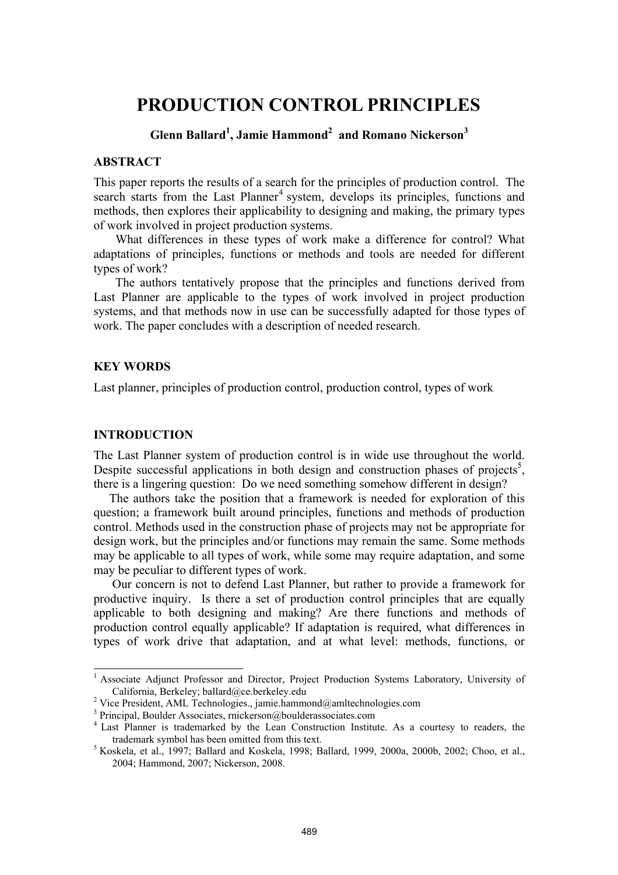# **PRODUCTION CONTROL PRINCIPLES**

# **Glenn Ballard1 , Jamie Hammond<sup>2</sup> and Romano Nickerson<sup>3</sup>**

#### **ABSTRACT**

This paper reports the results of a search for the principles of production control. The search starts from the Last Planner<sup>4</sup> system, develops its principles, functions and methods, then explores their applicability to designing and making, the primary types of work involved in project production systems.

 What differences in these types of work make a difference for control? What adaptations of principles, functions or methods and tools are needed for different types of work?

 The authors tentatively propose that the principles and functions derived from Last Planner are applicable to the types of work involved in project production systems, and that methods now in use can be successfully adapted for those types of work. The paper concludes with a description of needed research.

## **KEY WORDS**

Last planner, principles of production control, production control, types of work

#### **INTRODUCTION**

l

The Last Planner system of production control is in wide use throughout the world. Despite successful applications in both design and construction phases of projects<sup>5</sup>, there is a lingering question: Do we need something somehow different in design?

 The authors take the position that a framework is needed for exploration of this question; a framework built around principles, functions and methods of production control. Methods used in the construction phase of projects may not be appropriate for design work, but the principles and/or functions may remain the same. Some methods may be applicable to all types of work, while some may require adaptation, and some may be peculiar to different types of work.

Our concern is not to defend Last Planner, but rather to provide a framework for productive inquiry. Is there a set of production control principles that are equally applicable to both designing and making? Are there functions and methods of production control equally applicable? If adaptation is required, what differences in types of work drive that adaptation, and at what level: methods, functions, or

<sup>&</sup>lt;sup>1</sup> Associate Adjunct Professor and Director, Project Production Systems Laboratory, University of California, Berkeley; ballard@ce.berkeley.edu<br><sup>2</sup> Vice President, AML Technologies., jamie.hammond@amltechnologies.com

<sup>&</sup>lt;sup>3</sup> Principal, Boulder Associates, rnickerson@boulderassociates.com

<sup>&</sup>lt;sup>4</sup> Last Planner is trademarked by the Lean Construction Institute. As a courtesy to readers, the trademark symbol has been omitted from this text. 5

 $5$  Koskela, et al., 1997; Ballard and Koskela, 1998; Ballard, 1999, 2000a, 2000b, 2002; Choo, et al., 2004; Hammond, 2007; Nickerson, 2008.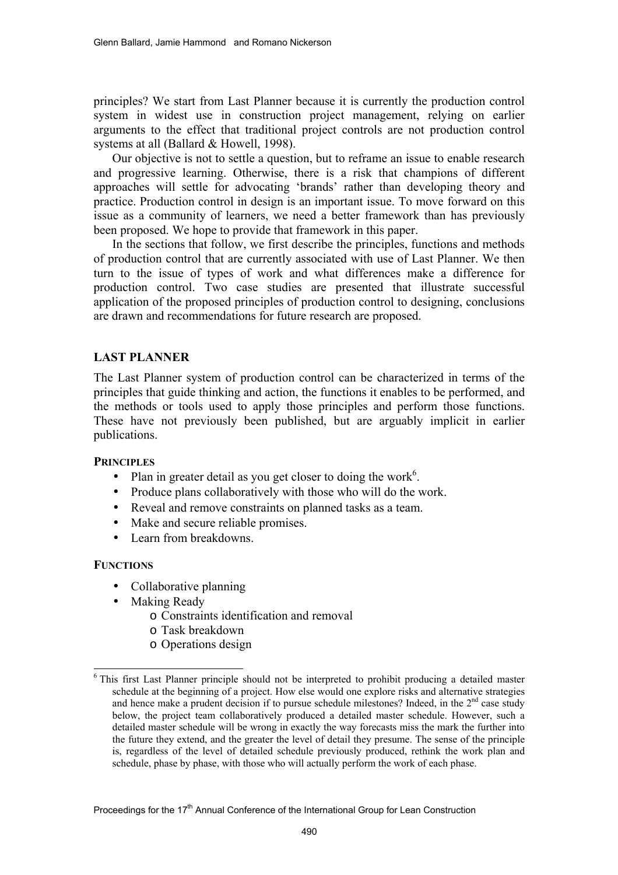principles? We start from Last Planner because it is currently the production control system in widest use in construction project management, relying on earlier arguments to the effect that traditional project controls are not production control systems at all (Ballard & Howell, 1998).

Our objective is not to settle a question, but to reframe an issue to enable research and progressive learning. Otherwise, there is a risk that champions of different approaches will settle for advocating 'brands' rather than developing theory and practice. Production control in design is an important issue. To move forward on this issue as a community of learners, we need a better framework than has previously been proposed. We hope to provide that framework in this paper.

In the sections that follow, we first describe the principles, functions and methods of production control that are currently associated with use of Last Planner. We then turn to the issue of types of work and what differences make a difference for production control. Two case studies are presented that illustrate successful application of the proposed principles of production control to designing, conclusions are drawn and recommendations for future research are proposed.

## **LAST PLANNER**

The Last Planner system of production control can be characterized in terms of the principles that guide thinking and action, the functions it enables to be performed, and the methods or tools used to apply those principles and perform those functions. These have not previously been published, but are arguably implicit in earlier publications.

## **PRINCIPLES**

- Plan in greater detail as you get closer to doing the work<sup>6</sup>.
- Produce plans collaboratively with those who will do the work.
- Reveal and remove constraints on planned tasks as a team.
- Make and secure reliable promises.
- Learn from breakdowns

## **FUNCTIONS**

l

- Collaborative planning
- Making Ready
	- o Constraints identification and removal
	- o Task breakdown
	- o Operations design

<sup>&</sup>lt;sup>6</sup> This first Last Planner principle should not be interpreted to prohibit producing a detailed master schedule at the beginning of a project. How else would one explore risks and alternative strategies and hence make a prudent decision if to pursue schedule milestones? Indeed, in the  $2<sup>nd</sup>$  case study below, the project team collaboratively produced a detailed master schedule. However, such a detailed master schedule will be wrong in exactly the way forecasts miss the mark the further into the future they extend, and the greater the level of detail they presume. The sense of the principle is, regardless of the level of detailed schedule previously produced, rethink the work plan and schedule, phase by phase, with those who will actually perform the work of each phase.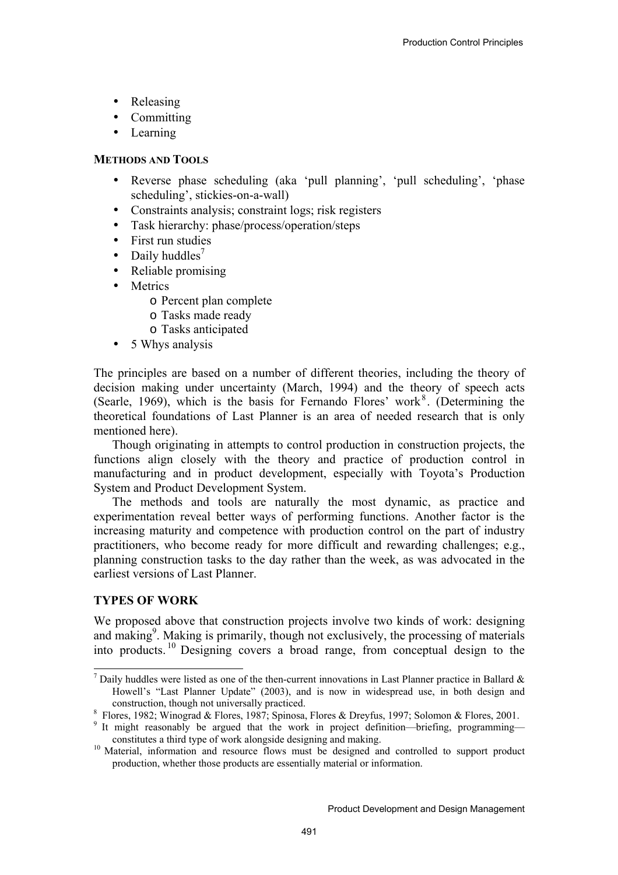- Releasing
- Committing
- Learning

## **METHODS AND TOOLS**

- Reverse phase scheduling (aka 'pull planning', 'pull scheduling', 'phase scheduling', stickies-on-a-wall)
- Constraints analysis; constraint logs; risk registers
- Task hierarchy: phase/process/operation/steps
- First run studies
- Daily huddles<sup>7</sup>
- Reliable promising
- **Metrics** 
	- o Percent plan complete
	- o Tasks made ready
	- o Tasks anticipated
- 5 Whys analysis

The principles are based on a number of different theories, including the theory of decision making under uncertainty (March, 1994) and the theory of speech acts (Searle, 1969), which is the basis for Fernando Flores' work $8$ . (Determining the theoretical foundations of Last Planner is an area of needed research that is only mentioned here).

Though originating in attempts to control production in construction projects, the functions align closely with the theory and practice of production control in manufacturing and in product development, especially with Toyota's Production System and Product Development System.

The methods and tools are naturally the most dynamic, as practice and experimentation reveal better ways of performing functions. Another factor is the increasing maturity and competence with production control on the part of industry practitioners, who become ready for more difficult and rewarding challenges; e.g., planning construction tasks to the day rather than the week, as was advocated in the earliest versions of Last Planner.

# **TYPES OF WORK**

l

We proposed above that construction projects involve two kinds of work: designing and making<sup>9</sup>. Making is primarily, though not exclusively, the processing of materials into products. 10 Designing covers a broad range, from conceptual design to the

<sup>&</sup>lt;sup>7</sup> Daily huddles were listed as one of the then-current innovations in Last Planner practice in Ballard  $\&$ Howell's "Last Planner Update" (2003), and is now in widespread use, in both design and construction, though not universally practiced.<br><sup>8</sup> Flores, 1982; Winograd & Flores, 1987; Spinosa, Flores & Dreyfus, 1997; Solomon & Flores, 2001.

<sup>&</sup>lt;sup>9</sup> It might reasonably be argued that the work in project definition—briefing, programming constitutes a third type of work alongside designing and making. 10 Material, information and resource flows must be designed and controlled to support product

production, whether those products are essentially material or information.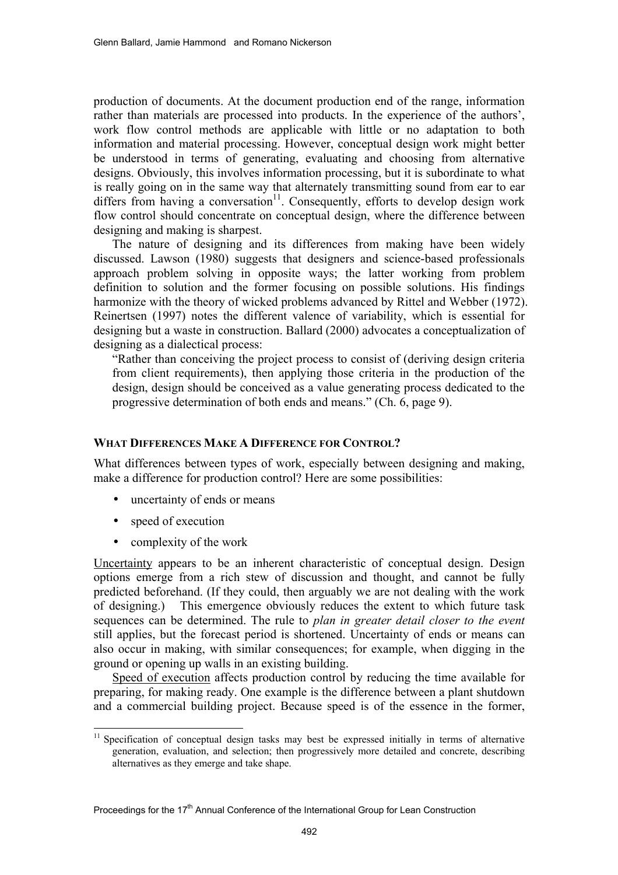production of documents. At the document production end of the range, information rather than materials are processed into products. In the experience of the authors', work flow control methods are applicable with little or no adaptation to both information and material processing. However, conceptual design work might better be understood in terms of generating, evaluating and choosing from alternative designs. Obviously, this involves information processing, but it is subordinate to what is really going on in the same way that alternately transmitting sound from ear to ear differs from having a conversation<sup>11</sup>. Consequently, efforts to develop design work flow control should concentrate on conceptual design, where the difference between designing and making is sharpest.

The nature of designing and its differences from making have been widely discussed. Lawson (1980) suggests that designers and science-based professionals approach problem solving in opposite ways; the latter working from problem definition to solution and the former focusing on possible solutions. His findings harmonize with the theory of wicked problems advanced by Rittel and Webber (1972). Reinertsen (1997) notes the different valence of variability, which is essential for designing but a waste in construction. Ballard (2000) advocates a conceptualization of designing as a dialectical process:

"Rather than conceiving the project process to consist of (deriving design criteria from client requirements), then applying those criteria in the production of the design, design should be conceived as a value generating process dedicated to the progressive determination of both ends and means." (Ch. 6, page 9).

## **WHAT DIFFERENCES MAKE A DIFFERENCE FOR CONTROL?**

What differences between types of work, especially between designing and making, make a difference for production control? Here are some possibilities:

- uncertainty of ends or means
- speed of execution

l

• complexity of the work

Uncertainty appears to be an inherent characteristic of conceptual design. Design options emerge from a rich stew of discussion and thought, and cannot be fully predicted beforehand. (If they could, then arguably we are not dealing with the work of designing.) This emergence obviously reduces the extent to which future task sequences can be determined. The rule to *plan in greater detail closer to the event* still applies, but the forecast period is shortened. Uncertainty of ends or means can also occur in making, with similar consequences; for example, when digging in the ground or opening up walls in an existing building.

Speed of execution affects production control by reducing the time available for preparing, for making ready. One example is the difference between a plant shutdown and a commercial building project. Because speed is of the essence in the former,

<sup>&</sup>lt;sup>11</sup> Specification of conceptual design tasks may best be expressed initially in terms of alternative generation, evaluation, and selection; then progressively more detailed and concrete, describing alternatives as they emerge and take shape.

Proceedings for the  $17<sup>th</sup>$  Annual Conference of the International Group for Lean Construction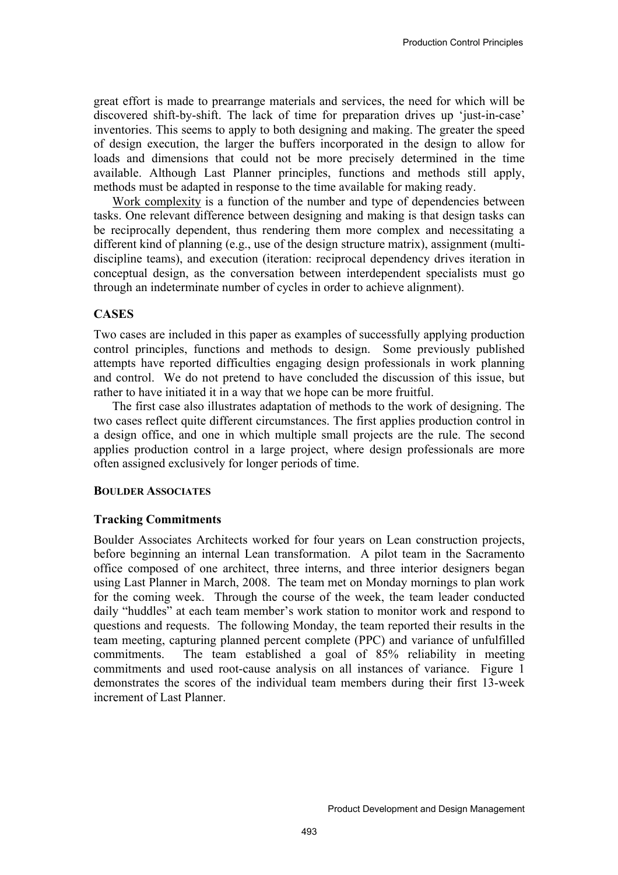great effort is made to prearrange materials and services, the need for which will be discovered shift-by-shift. The lack of time for preparation drives up 'just-in-case' inventories. This seems to apply to both designing and making. The greater the speed of design execution, the larger the buffers incorporated in the design to allow for loads and dimensions that could not be more precisely determined in the time available. Although Last Planner principles, functions and methods still apply, methods must be adapted in response to the time available for making ready.

Work complexity is a function of the number and type of dependencies between tasks. One relevant difference between designing and making is that design tasks can be reciprocally dependent, thus rendering them more complex and necessitating a different kind of planning (e.g., use of the design structure matrix), assignment (multidiscipline teams), and execution (iteration: reciprocal dependency drives iteration in conceptual design, as the conversation between interdependent specialists must go through an indeterminate number of cycles in order to achieve alignment).

#### **CASES**

Two cases are included in this paper as examples of successfully applying production control principles, functions and methods to design. Some previously published attempts have reported difficulties engaging design professionals in work planning and control. We do not pretend to have concluded the discussion of this issue, but rather to have initiated it in a way that we hope can be more fruitful.

The first case also illustrates adaptation of methods to the work of designing. The two cases reflect quite different circumstances. The first applies production control in a design office, and one in which multiple small projects are the rule. The second applies production control in a large project, where design professionals are more often assigned exclusively for longer periods of time.

#### **BOULDER ASSOCIATES**

## **Tracking Commitments**

Boulder Associates Architects worked for four years on Lean construction projects, before beginning an internal Lean transformation. A pilot team in the Sacramento office composed of one architect, three interns, and three interior designers began using Last Planner in March, 2008. The team met on Monday mornings to plan work for the coming week. Through the course of the week, the team leader conducted daily "huddles" at each team member's work station to monitor work and respond to questions and requests. The following Monday, the team reported their results in the team meeting, capturing planned percent complete (PPC) and variance of unfulfilled commitments. The team established a goal of 85% reliability in meeting commitments and used root-cause analysis on all instances of variance. Figure 1 demonstrates the scores of the individual team members during their first 13-week increment of Last Planner.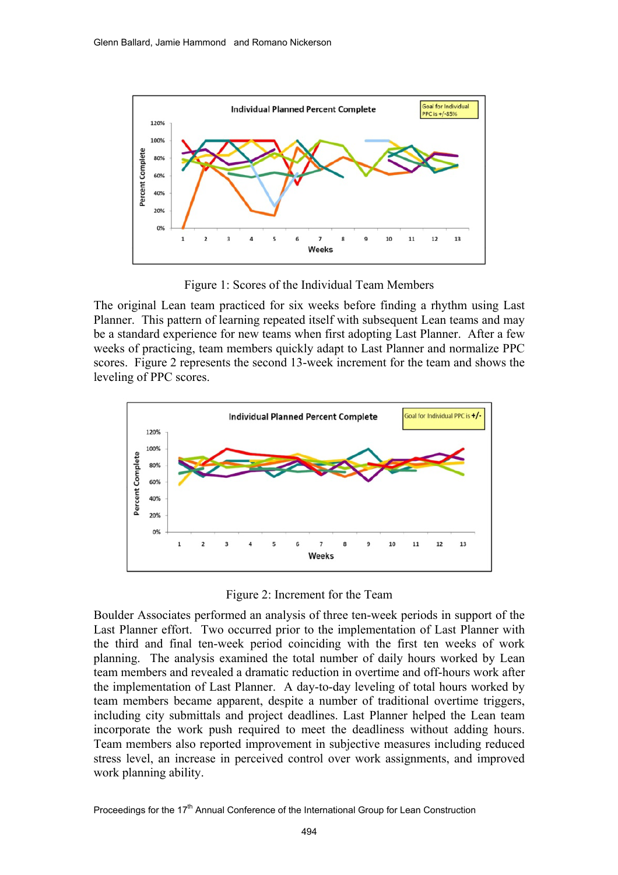

Figure 1: Scores of the Individual Team Members

The original Lean team practiced for six weeks before finding a rhythm using Last Planner. This pattern of learning repeated itself with subsequent Lean teams and may be a standard experience for new teams when first adopting Last Planner. After a few weeks of practicing, team members quickly adapt to Last Planner and normalize PPC scores. Figure 2 represents the second 13-week increment for the team and shows the leveling of PPC scores.



Figure 2: Increment for the Team

Boulder Associates performed an analysis of three ten-week periods in support of the Last Planner effort. Two occurred prior to the implementation of Last Planner with the third and final ten-week period coinciding with the first ten weeks of work planning. The analysis examined the total number of daily hours worked by Lean team members and revealed a dramatic reduction in overtime and off-hours work after the implementation of Last Planner. A day-to-day leveling of total hours worked by team members became apparent, despite a number of traditional overtime triggers, including city submittals and project deadlines. Last Planner helped the Lean team incorporate the work push required to meet the deadliness without adding hours. Team members also reported improvement in subjective measures including reduced stress level, an increase in perceived control over work assignments, and improved work planning ability.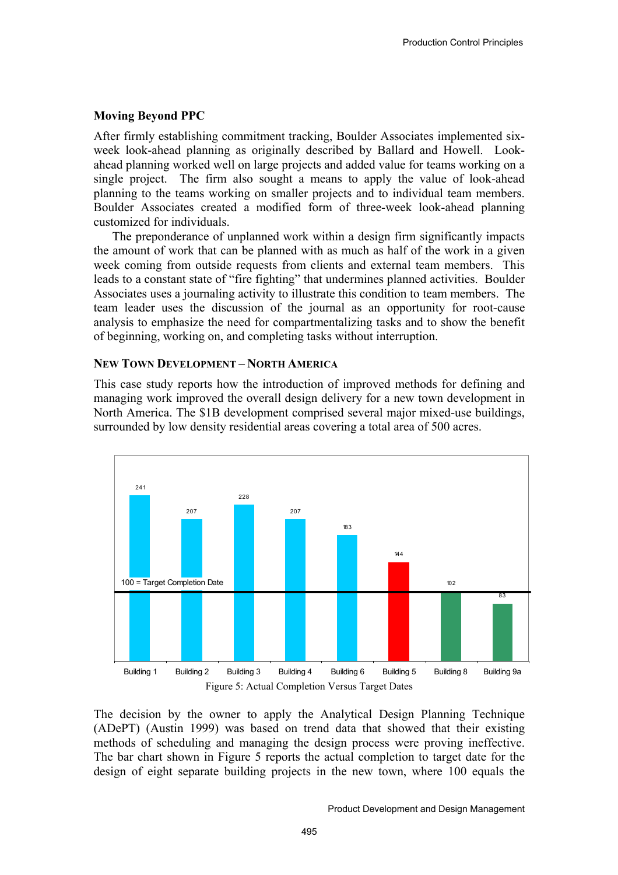## **Moving Beyond PPC**

After firmly establishing commitment tracking, Boulder Associates implemented sixweek look-ahead planning as originally described by Ballard and Howell. Lookahead planning worked well on large projects and added value for teams working on a single project. The firm also sought a means to apply the value of look-ahead planning to the teams working on smaller projects and to individual team members. Boulder Associates created a modified form of three-week look-ahead planning customized for individuals.

The preponderance of unplanned work within a design firm significantly impacts the amount of work that can be planned with as much as half of the work in a given week coming from outside requests from clients and external team members. This leads to a constant state of "fire fighting" that undermines planned activities. Boulder Associates uses a journaling activity to illustrate this condition to team members. The team leader uses the discussion of the journal as an opportunity for root-cause analysis to emphasize the need for compartmentalizing tasks and to show the benefit of beginning, working on, and completing tasks without interruption.

#### **NEW TOWN DEVELOPMENT – NORTH AMERICA**

This case study reports how the introduction of improved methods for defining and managing work improved the overall design delivery for a new town development in North America. The \$1B development comprised several major mixed-use buildings, surrounded by low density residential areas covering a total area of 500 acres.



The decision by the owner to apply the Analytical Design Planning Technique (ADePT) (Austin 1999) was based on trend data that showed that their existing methods of scheduling and managing the design process were proving ineffective. The bar chart shown in Figure 5 reports the actual completion to target date for the design of eight separate building projects in the new town, where 100 equals the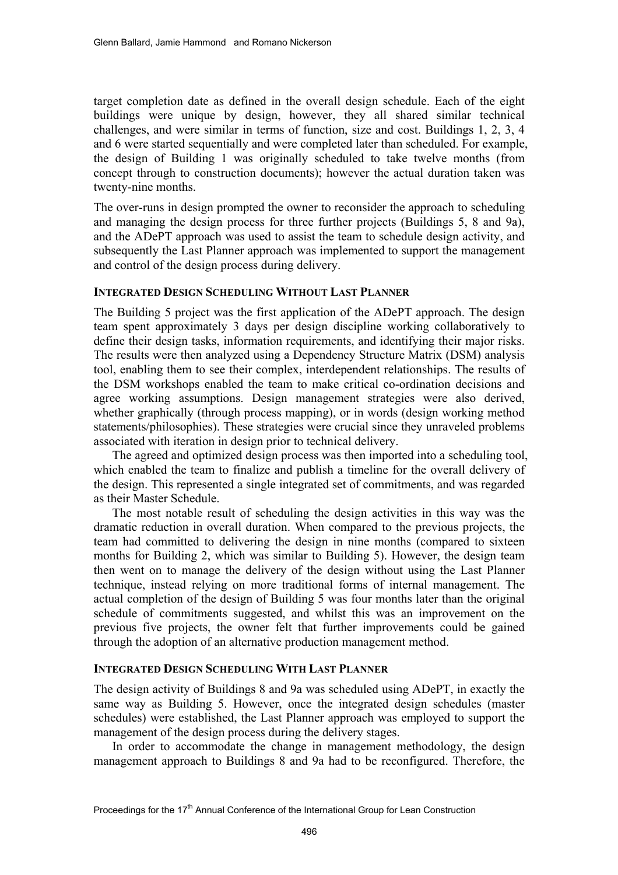target completion date as defined in the overall design schedule. Each of the eight buildings were unique by design, however, they all shared similar technical challenges, and were similar in terms of function, size and cost. Buildings 1, 2, 3, 4 and 6 were started sequentially and were completed later than scheduled. For example, the design of Building 1 was originally scheduled to take twelve months (from concept through to construction documents); however the actual duration taken was twenty-nine months.

The over-runs in design prompted the owner to reconsider the approach to scheduling and managing the design process for three further projects (Buildings 5, 8 and 9a), and the ADePT approach was used to assist the team to schedule design activity, and subsequently the Last Planner approach was implemented to support the management and control of the design process during delivery.

## **INTEGRATED DESIGN SCHEDULING WITHOUT LAST PLANNER**

The Building 5 project was the first application of the ADePT approach. The design team spent approximately 3 days per design discipline working collaboratively to define their design tasks, information requirements, and identifying their major risks. The results were then analyzed using a Dependency Structure Matrix (DSM) analysis tool, enabling them to see their complex, interdependent relationships. The results of the DSM workshops enabled the team to make critical co-ordination decisions and agree working assumptions. Design management strategies were also derived, whether graphically (through process mapping), or in words (design working method statements/philosophies). These strategies were crucial since they unraveled problems associated with iteration in design prior to technical delivery.

The agreed and optimized design process was then imported into a scheduling tool, which enabled the team to finalize and publish a timeline for the overall delivery of the design. This represented a single integrated set of commitments, and was regarded as their Master Schedule.

The most notable result of scheduling the design activities in this way was the dramatic reduction in overall duration. When compared to the previous projects, the team had committed to delivering the design in nine months (compared to sixteen months for Building 2, which was similar to Building 5). However, the design team then went on to manage the delivery of the design without using the Last Planner technique, instead relying on more traditional forms of internal management. The actual completion of the design of Building 5 was four months later than the original schedule of commitments suggested, and whilst this was an improvement on the previous five projects, the owner felt that further improvements could be gained through the adoption of an alternative production management method.

## **INTEGRATED DESIGN SCHEDULING WITH LAST PLANNER**

The design activity of Buildings 8 and 9a was scheduled using ADePT, in exactly the same way as Building 5. However, once the integrated design schedules (master schedules) were established, the Last Planner approach was employed to support the management of the design process during the delivery stages.

In order to accommodate the change in management methodology, the design management approach to Buildings 8 and 9a had to be reconfigured. Therefore, the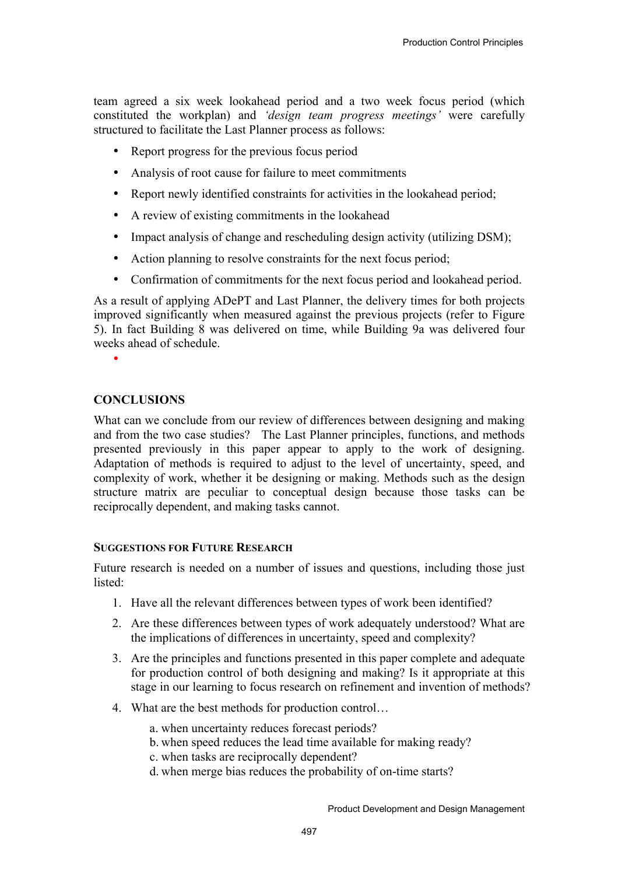team agreed a six week lookahead period and a two week focus period (which constituted the workplan) and *'design team progress meetings'* were carefully structured to facilitate the Last Planner process as follows:

- Report progress for the previous focus period
- Analysis of root cause for failure to meet commitments
- Report newly identified constraints for activities in the lookahead period;
- A review of existing commitments in the lookahead
- Impact analysis of change and rescheduling design activity (utilizing DSM);
- Action planning to resolve constraints for the next focus period;
- Confirmation of commitments for the next focus period and lookahead period.

As a result of applying ADePT and Last Planner, the delivery times for both projects improved significantly when measured against the previous projects (refer to Figure 5). In fact Building 8 was delivered on time, while Building 9a was delivered four weeks ahead of schedule.

•

# **CONCLUSIONS**

What can we conclude from our review of differences between designing and making and from the two case studies? The Last Planner principles, functions, and methods presented previously in this paper appear to apply to the work of designing. Adaptation of methods is required to adjust to the level of uncertainty, speed, and complexity of work, whether it be designing or making. Methods such as the design structure matrix are peculiar to conceptual design because those tasks can be reciprocally dependent, and making tasks cannot.

## **SUGGESTIONS FOR FUTURE RESEARCH**

Future research is needed on a number of issues and questions, including those just listed:

- 1. Have all the relevant differences between types of work been identified?
- 2. Are these differences between types of work adequately understood? What are the implications of differences in uncertainty, speed and complexity?
- 3. Are the principles and functions presented in this paper complete and adequate for production control of both designing and making? Is it appropriate at this stage in our learning to focus research on refinement and invention of methods?
- 4. What are the best methods for production control…
	- a. when uncertainty reduces forecast periods?
	- b. when speed reduces the lead time available for making ready?
	- c. when tasks are reciprocally dependent?
	- d. when merge bias reduces the probability of on-time starts?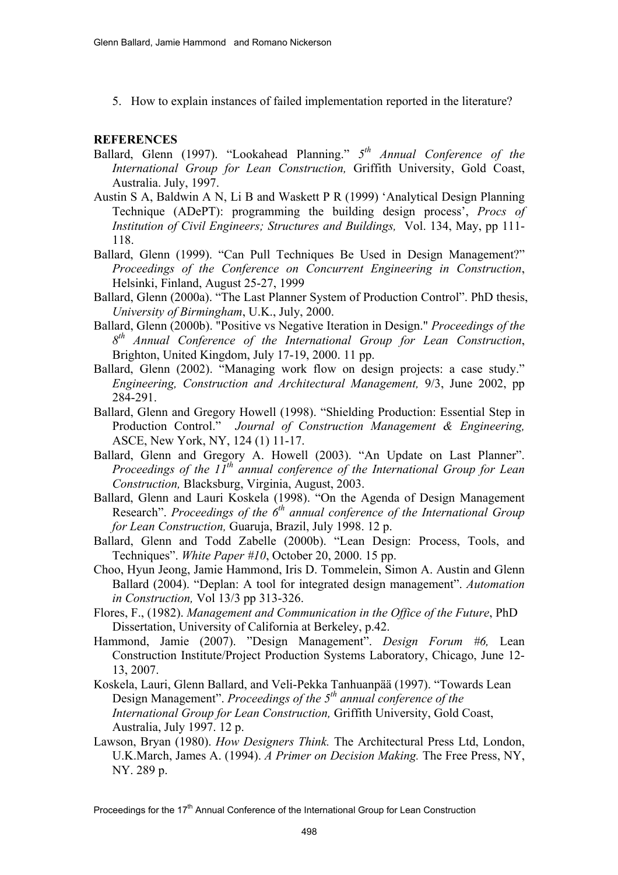5. How to explain instances of failed implementation reported in the literature?

# **REFERENCES**

- Ballard, Glenn (1997). "Lookahead Planning." *5th Annual Conference of the International Group for Lean Construction,* Griffith University, Gold Coast, Australia. July, 1997.
- Austin S A, Baldwin A N, Li B and Waskett P R (1999) 'Analytical Design Planning Technique (ADePT): programming the building design process', *Procs of Institution of Civil Engineers; Structures and Buildings,* Vol. 134, May, pp 111- 118.
- Ballard, Glenn (1999). "Can Pull Techniques Be Used in Design Management?" *Proceedings of the Conference on Concurrent Engineering in Construction*, Helsinki, Finland, August 25-27, 1999
- Ballard, Glenn (2000a). "The Last Planner System of Production Control". PhD thesis, *University of Birmingham*, U.K., July, 2000.
- Ballard, Glenn (2000b). "Positive vs Negative Iteration in Design." *Proceedings of the 8th Annual Conference of the International Group for Lean Construction*, Brighton, United Kingdom, July 17-19, 2000. 11 pp.
- Ballard, Glenn (2002). "Managing work flow on design projects: a case study." *Engineering, Construction and Architectural Management,* 9/3, June 2002, pp 284-291.
- Ballard, Glenn and Gregory Howell (1998). "Shielding Production: Essential Step in Production Control." *Journal of Construction Management & Engineering,*  ASCE, New York, NY, 124 (1) 11-17.
- Ballard, Glenn and Gregory A. Howell (2003). "An Update on Last Planner". *Proceedings of the 11<sup>th</sup> annual conference of the International Group for Lean Construction,* Blacksburg, Virginia, August, 2003.
- Ballard, Glenn and Lauri Koskela (1998). "On the Agenda of Design Management Research". *Proceedings of the 6<sup>th</sup> annual conference of the International Group for Lean Construction,* Guaruja, Brazil, July 1998. 12 p.
- Ballard, Glenn and Todd Zabelle (2000b). "Lean Design: Process, Tools, and Techniques". *White Paper #10*, October 20, 2000. 15 pp.
- Choo, Hyun Jeong, Jamie Hammond, Iris D. Tommelein, Simon A. Austin and Glenn Ballard (2004). "Deplan: A tool for integrated design management". *Automation in Construction,* Vol 13/3 pp 313-326.
- Flores, F., (1982). *Management and Communication in the Office of the Future*, PhD Dissertation, University of California at Berkeley, p.42.
- Hammond, Jamie (2007). "Design Management". *Design Forum #6,* Lean Construction Institute/Project Production Systems Laboratory, Chicago, June 12- 13, 2007.
- Koskela, Lauri, Glenn Ballard, and Veli-Pekka Tanhuanpää (1997). "Towards Lean Design Management". *Proceedings of the* 5<sup>th</sup> annual conference of the *International Group for Lean Construction,* Griffith University, Gold Coast, Australia, July 1997. 12 p.
- Lawson, Bryan (1980). *How Designers Think.* The Architectural Press Ltd, London, U.K.March, James A. (1994). *A Primer on Decision Making.* The Free Press, NY, NY. 289 p.

Proceedings for the 17<sup>th</sup> Annual Conference of the International Group for Lean Construction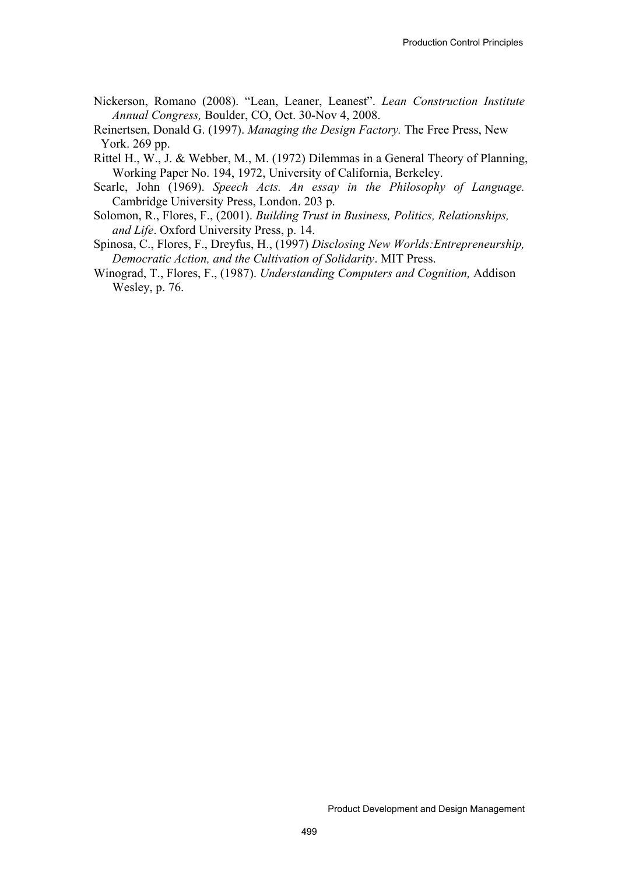Nickerson, Romano (2008). "Lean, Leaner, Leanest". *Lean Construction Institute Annual Congress,* Boulder, CO, Oct. 30-Nov 4, 2008.

Reinertsen, Donald G. (1997). *Managing the Design Factory.* The Free Press, New York. 269 pp.

- Rittel H., W., J. & Webber, M., M. (1972) Dilemmas in a General Theory of Planning, Working Paper No. 194, 1972, University of California, Berkeley.
- Searle, John (1969). *Speech Acts. An essay in the Philosophy of Language.*  Cambridge University Press, London. 203 p.
- Solomon, R., Flores, F., (2001). *Building Trust in Business, Politics, Relationships, and Life*. Oxford University Press, p. 14.
- Spinosa, C., Flores, F., Dreyfus, H., (1997) *Disclosing New Worlds:Entrepreneurship, Democratic Action, and the Cultivation of Solidarity*. MIT Press.
- Winograd, T., Flores, F., (1987). *Understanding Computers and Cognition,* Addison Wesley, p. 76.